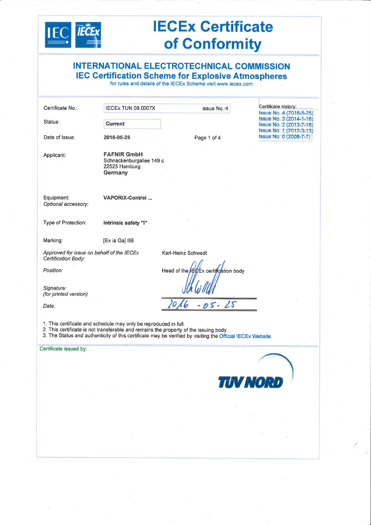

# **IECEx Certificate** of Conformity

**INTERNATIONAL ELECTROTECHNICAL COMMISSION IEC Certification Scheme for Explosive Atmospheres**<br>for rules and details of the IECEx Scheme visit www.iecex.com

| Certificate No.:                                                                                                              | IECEX TUN 08.0007X                                                         | issue No.: 4                                                                                                                                                                                                                                                               | Certificate history:<br>Issue No. 4 (2016-5-25)                               |
|-------------------------------------------------------------------------------------------------------------------------------|----------------------------------------------------------------------------|----------------------------------------------------------------------------------------------------------------------------------------------------------------------------------------------------------------------------------------------------------------------------|-------------------------------------------------------------------------------|
| Status:                                                                                                                       | <b>Current</b>                                                             |                                                                                                                                                                                                                                                                            | Issue No. 3 (2014-1-16)<br>Issue No. 2 (2013-7-16)<br>Issue No. 1 (2012-3-13) |
| Date of Issue:                                                                                                                | 2016-05-25                                                                 | Page 1 of 4                                                                                                                                                                                                                                                                | Issue No. 0 (2008-7-7)                                                        |
| Applicant:                                                                                                                    | <b>FAFNIR GmbH</b><br>Schnackenburgallee 149 c<br>22525 Hamburg<br>Germany |                                                                                                                                                                                                                                                                            |                                                                               |
| Equipment:<br>Optional accessory:                                                                                             | <b>VAPORIX-Control</b>                                                     |                                                                                                                                                                                                                                                                            |                                                                               |
| Type of Protection:                                                                                                           | Intrinsic safety "i"                                                       |                                                                                                                                                                                                                                                                            |                                                                               |
| Marking:                                                                                                                      | [Ex ia Ga] IIB                                                             |                                                                                                                                                                                                                                                                            |                                                                               |
| Approved for issue on behalf of the IECEx<br>Certification Body:<br>Position:<br>Signature:<br>(for printed version)<br>Date: | 1. This certificate and schedule may only be reproduced in full.           | Karl-Heinz Schwedt<br>Head of the FECEx certification body<br>05-25<br>2. This certificate is not transferable and remains the property of the issuing body.<br>3. The Status and authenticity of this certificate may be verified by visiting the Official IECEx Website. |                                                                               |
| Certificate issued by:                                                                                                        |                                                                            |                                                                                                                                                                                                                                                                            |                                                                               |

**IUV NORD**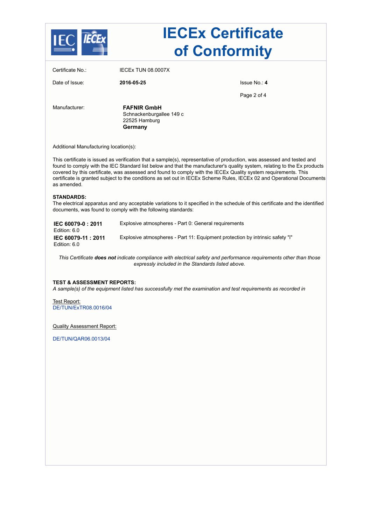|                                                                                |                                                                            | <b>IECEx Certificate</b><br>of Conformity                                                                                                                                                                                                                                                                                                                                                                                                                                                     |
|--------------------------------------------------------------------------------|----------------------------------------------------------------------------|-----------------------------------------------------------------------------------------------------------------------------------------------------------------------------------------------------------------------------------------------------------------------------------------------------------------------------------------------------------------------------------------------------------------------------------------------------------------------------------------------|
| Certificate No.:                                                               | IECEX TUN 08.0007X                                                         |                                                                                                                                                                                                                                                                                                                                                                                                                                                                                               |
| Date of Issue:                                                                 | 2016-05-25                                                                 | Issue No.: 4                                                                                                                                                                                                                                                                                                                                                                                                                                                                                  |
|                                                                                |                                                                            | Page 2 of 4                                                                                                                                                                                                                                                                                                                                                                                                                                                                                   |
| Manufacturer:                                                                  | <b>FAFNIR GmbH</b><br>Schnackenburgallee 149 c<br>22525 Hamburg<br>Germany |                                                                                                                                                                                                                                                                                                                                                                                                                                                                                               |
| Additional Manufacturing location(s):                                          |                                                                            |                                                                                                                                                                                                                                                                                                                                                                                                                                                                                               |
| as amended.                                                                    |                                                                            | This certificate is issued as verification that a sample(s), representative of production, was assessed and tested and<br>found to comply with the IEC Standard list below and that the manufacturer's quality system, relating to the Ex products<br>covered by this certificate, was assessed and found to comply with the IECEx Quality system requirements. This<br>certificate is granted subject to the conditions as set out in IECEx Scheme Rules, IECEx 02 and Operational Documents |
| <b>STANDARDS:</b>                                                              | documents, was found to comply with the following standards:               | The electrical apparatus and any acceptable variations to it specified in the schedule of this certificate and the identified                                                                                                                                                                                                                                                                                                                                                                 |
| IEC 60079-0: 2011<br>Edition: 6.0                                              |                                                                            | Explosive atmospheres - Part 0: General requirements                                                                                                                                                                                                                                                                                                                                                                                                                                          |
| IEC 60079-11: 2011<br>Edition: 6.0                                             |                                                                            | Explosive atmospheres - Part 11: Equipment protection by intrinsic safety "i"                                                                                                                                                                                                                                                                                                                                                                                                                 |
|                                                                                |                                                                            | This Certificate does not indicate compliance with electrical safety and performance requirements other than those<br>expressly included in the Standards listed above.                                                                                                                                                                                                                                                                                                                       |
| <b>TEST &amp; ASSESSMENT REPORTS:</b><br>Test Report:<br>DE/TUN/ExTR08.0016/04 |                                                                            | A sample(s) of the equipment listed has successfully met the examination and test requirements as recorded in                                                                                                                                                                                                                                                                                                                                                                                 |
| <b>Quality Assessment Report:</b>                                              |                                                                            |                                                                                                                                                                                                                                                                                                                                                                                                                                                                                               |
| DE/TUN/QAR06.0013/04                                                           |                                                                            |                                                                                                                                                                                                                                                                                                                                                                                                                                                                                               |
|                                                                                |                                                                            |                                                                                                                                                                                                                                                                                                                                                                                                                                                                                               |
|                                                                                |                                                                            |                                                                                                                                                                                                                                                                                                                                                                                                                                                                                               |
|                                                                                |                                                                            |                                                                                                                                                                                                                                                                                                                                                                                                                                                                                               |
|                                                                                |                                                                            |                                                                                                                                                                                                                                                                                                                                                                                                                                                                                               |
|                                                                                |                                                                            |                                                                                                                                                                                                                                                                                                                                                                                                                                                                                               |
|                                                                                |                                                                            |                                                                                                                                                                                                                                                                                                                                                                                                                                                                                               |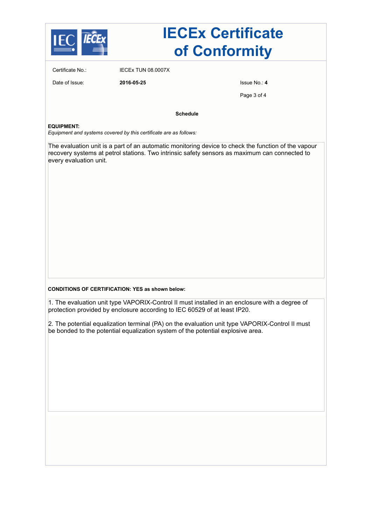

# **IECEx Certificate of Conformity**

Certificate No.: IECEx TUN 08.0007X

Date of Issue: **2016-05-25** Issue No.: **4**

Page 3 of 4

**Schedule**

#### **EQUIPMENT:**

*Equipment and systems covered by this certificate are as follows:*

The evaluation unit is a part of an automatic monitoring device to check the function of the vapour recovery systems at petrol stations. Two intrinsic safety sensors as maximum can connected to every evaluation unit.

#### **CONDITIONS OF CERTIFICATION: YES as shown below:**

1. The evaluation unit type VAPORIX-Control II must installed in an enclosure with a degree of protection provided by enclosure according to IEC 60529 of at least IP20.

2. The potential equalization terminal (PA) on the evaluation unit type VAPORIX-Control II must be bonded to the potential equalization system of the potential explosive area.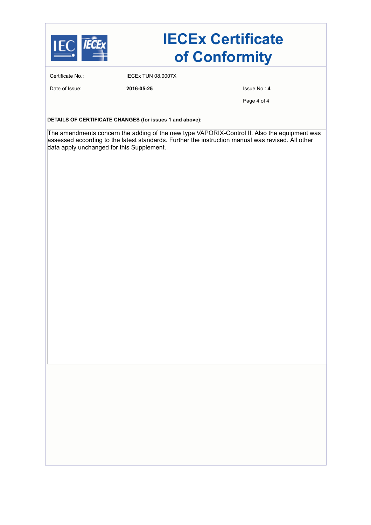

# **IECEx Certificate of Conformity**

Certificate No.: IECEx TUN 08.0007X

Date of Issue: **2016-05-25 1999 2016-05-25** 

Page 4 of 4

**DETAILS OF CERTIFICATE CHANGES (for issues 1 and above):**

The amendments concern the adding of the new type VAPORIX-Control II. Also the equipment was assessed according to the latest standards. Further the instruction manual was revised. All other data apply unchanged for this Supplement.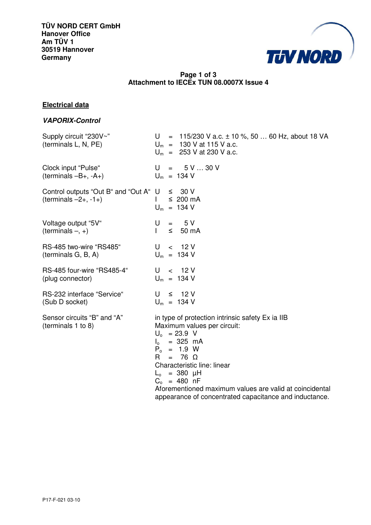

# **Page 1 of 3 Attachment to IECEx TUN 08.0007X Issue 4**

# **Electrical data**

### **VAPORIX-Control**

| Supply circuit "230V~"<br>(terminals L, N, PE)                              | U = $115/230$ V a.c. $\pm 10$ %, 50  60 Hz, about 18 VA<br>$U_m$ = 130 V at 115 V a.c.<br>$U_m$ = 253 V at 230 V a.c.                                                                                                                                                                                                                                           |
|-----------------------------------------------------------------------------|-----------------------------------------------------------------------------------------------------------------------------------------------------------------------------------------------------------------------------------------------------------------------------------------------------------------------------------------------------------------|
| Clock input "Pulse"<br>$(terminals - B+, -A+)$                              | $U = 5V30V$<br>$U_m$ = 134 V                                                                                                                                                                                                                                                                                                                                    |
| Control outputs "Out B" and "Out A" $U \leq 30$ V<br>$(terminals -2+, -1+)$ | $\leq 200$ mA<br>$U_m$ = 134 V                                                                                                                                                                                                                                                                                                                                  |
| Voltage output "5V"<br>(terminals $-$ , $+$ )                               | $= 5V$<br>U<br>$\mathbf{L}$<br>$\leq$ 50 mA                                                                                                                                                                                                                                                                                                                     |
| RS-485 two-wire "RS485"<br>(terminals G, B, A)                              | U<br>< 12V<br>$U_m$ = 134 V                                                                                                                                                                                                                                                                                                                                     |
| RS-485 four-wire "RS485-4"<br>(plug connector)                              | < 12V<br>U<br>$U_m$ = 134 V                                                                                                                                                                                                                                                                                                                                     |
| RS-232 interface "Service"<br>(Sub D socket)                                | $U \leq 12V$<br>$U_m$ = 134 V                                                                                                                                                                                                                                                                                                                                   |
| Sensor circuits "B" and "A"<br>(terminals 1 to 8)                           | in type of protection intrinsic safety Ex ia IIB<br>Maximum values per circuit:<br>$U_0$ = 23.9 V<br>= 325 mA<br>$I_{\circ}$<br>$P_0 = 1.9 W$<br>R.<br>$= 76 \Omega$<br>Characteristic line: linear<br>$L_0 = 380 \mu H$<br>$C_0 = 480$ nF<br>Aforementioned maximum values are valid at coincidental<br>appearance of concentrated capacitance and inductance. |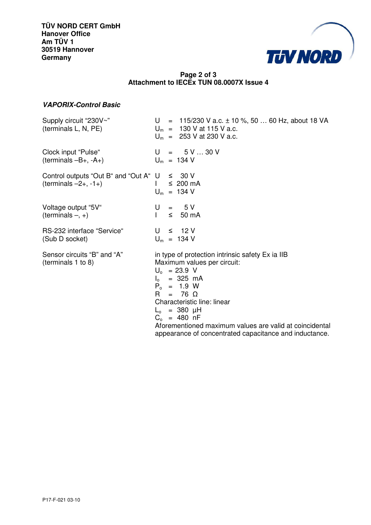

## **Page 2 of 3 Attachment to IECEx TUN 08.0007X Issue 4**

## **VAPORIX-Control Basic**

| Supply circuit "230V~"<br>(terminals L, N, PE)    | U = 115/230 V a.c. $\pm$ 10 %, 50  60 Hz, about 18 VA<br>$U_m$ = 130 V at 115 V a.c.<br>$U_m$ = 253 V at 230 V a.c.                                                                                                                                                                                                                                              |
|---------------------------------------------------|------------------------------------------------------------------------------------------------------------------------------------------------------------------------------------------------------------------------------------------------------------------------------------------------------------------------------------------------------------------|
| Clock input "Pulse"                               | $U = 5V30V$                                                                                                                                                                                                                                                                                                                                                      |
| $(terminals - B+, -A+)$                           | $U_m$ = 134 V                                                                                                                                                                                                                                                                                                                                                    |
| Control outputs "Out B" and "Out A" $U \leq 30$ V | $\leq 200$ mA                                                                                                                                                                                                                                                                                                                                                    |
| $(terminals -2+, -1+)$                            | $U_m$ = 134 V                                                                                                                                                                                                                                                                                                                                                    |
| Voltage output "5V"<br>(terminals $-$ , $+$ )     | $= 5V$<br>U<br>$\leq$ 50 mA                                                                                                                                                                                                                                                                                                                                      |
| RS-232 interface "Service"                        | $U \leq 12V$                                                                                                                                                                                                                                                                                                                                                     |
| (Sub D socket)                                    | $U_m$ = 134 V                                                                                                                                                                                                                                                                                                                                                    |
| Sensor circuits "B" and "A"<br>(terminals 1 to 8) | in type of protection intrinsic safety Ex ia IIB<br>Maximum values per circuit:<br>$U_0$ = 23.9 V<br>$I_0 = 325 \text{ mA}$<br>$P_0 = 1.9 W$<br>$= 76 \Omega$<br>R.<br>Characteristic line: linear<br>$L_0$ = 380 $\mu$ H<br>$C_0 = 480$ nF<br>Aforementioned maximum values are valid at coincidental<br>appearance of concentrated capacitance and inductance. |